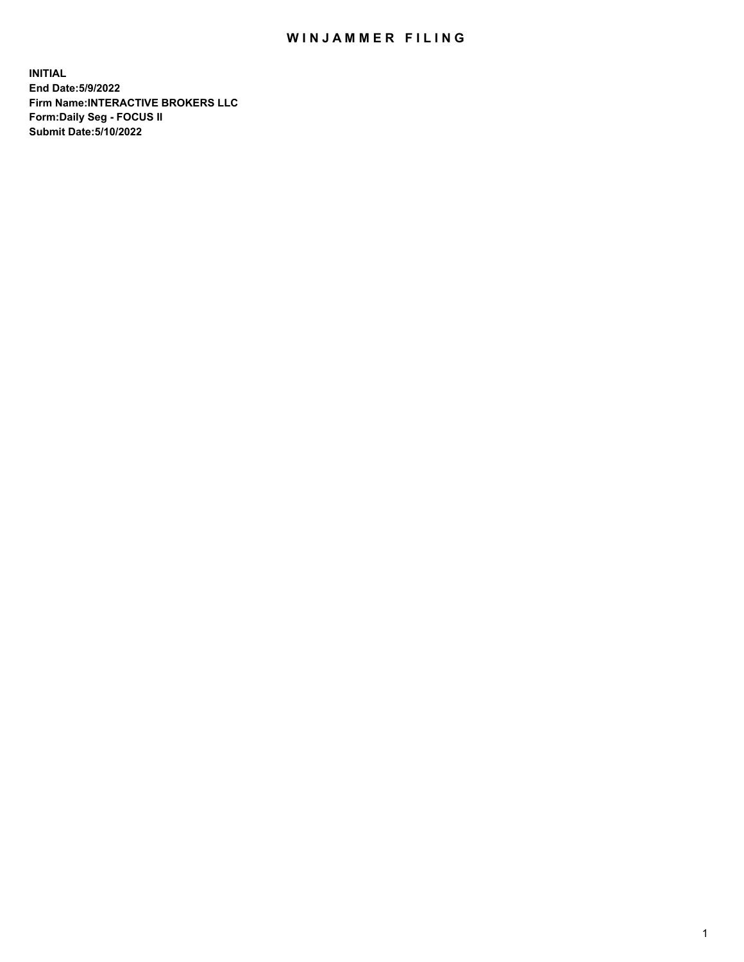## WIN JAMMER FILING

**INITIAL End Date:5/9/2022 Firm Name:INTERACTIVE BROKERS LLC Form:Daily Seg - FOCUS II Submit Date:5/10/2022**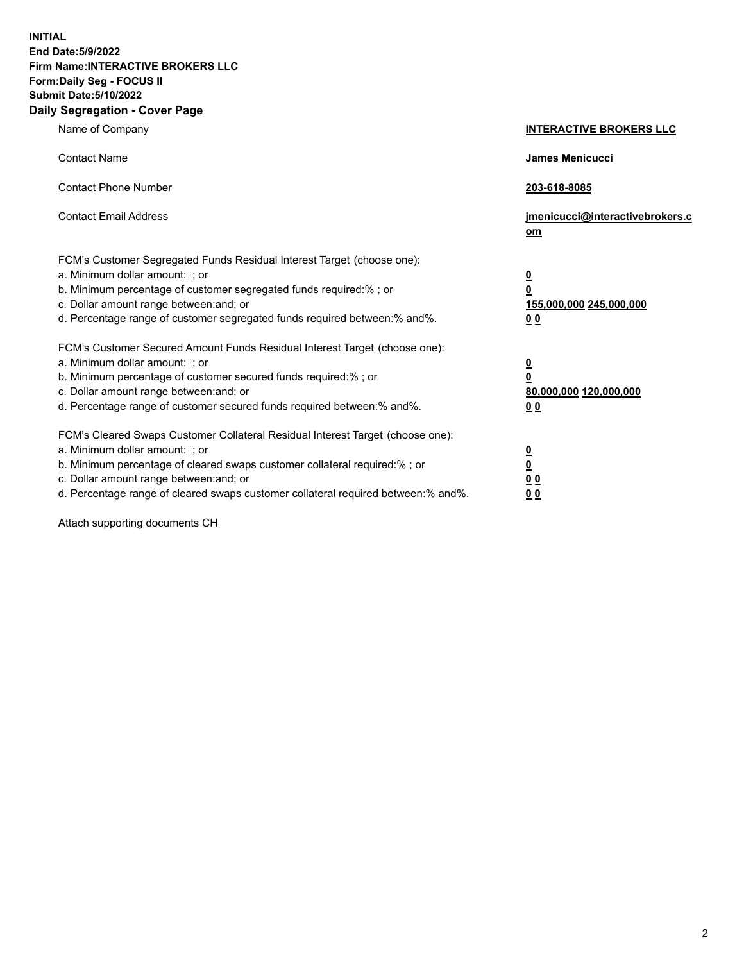**INITIAL End Date:5/9/2022 Firm Name:INTERACTIVE BROKERS LLC Form:Daily Seg - FOCUS II Submit Date:5/10/2022 Daily Segregation - Cover Page**

| Name of Company                                                                                                                                                                                                                                                                                                                | <b>INTERACTIVE BROKERS LLC</b>                                                                 |
|--------------------------------------------------------------------------------------------------------------------------------------------------------------------------------------------------------------------------------------------------------------------------------------------------------------------------------|------------------------------------------------------------------------------------------------|
| <b>Contact Name</b>                                                                                                                                                                                                                                                                                                            | <b>James Menicucci</b>                                                                         |
| <b>Contact Phone Number</b>                                                                                                                                                                                                                                                                                                    | 203-618-8085                                                                                   |
| <b>Contact Email Address</b>                                                                                                                                                                                                                                                                                                   | jmenicucci@interactivebrokers.c<br>om                                                          |
| FCM's Customer Segregated Funds Residual Interest Target (choose one):<br>a. Minimum dollar amount: ; or<br>b. Minimum percentage of customer segregated funds required:% ; or<br>c. Dollar amount range between: and; or<br>d. Percentage range of customer segregated funds required between:% and%.                         | $\overline{\mathbf{0}}$<br>$\overline{\mathbf{0}}$<br>155,000,000 245,000,000<br>00            |
| FCM's Customer Secured Amount Funds Residual Interest Target (choose one):<br>a. Minimum dollar amount: ; or<br>b. Minimum percentage of customer secured funds required:%; or<br>c. Dollar amount range between: and; or<br>d. Percentage range of customer secured funds required between:% and%.                            | $\overline{\mathbf{0}}$<br>$\overline{\mathbf{0}}$<br>80,000,000 120,000,000<br>0 <sub>0</sub> |
| FCM's Cleared Swaps Customer Collateral Residual Interest Target (choose one):<br>a. Minimum dollar amount: ; or<br>b. Minimum percentage of cleared swaps customer collateral required:% ; or<br>c. Dollar amount range between: and; or<br>d. Percentage range of cleared swaps customer collateral required between:% and%. | $\overline{\mathbf{0}}$<br><u>0</u><br>0 <sub>0</sub><br>00                                    |

Attach supporting documents CH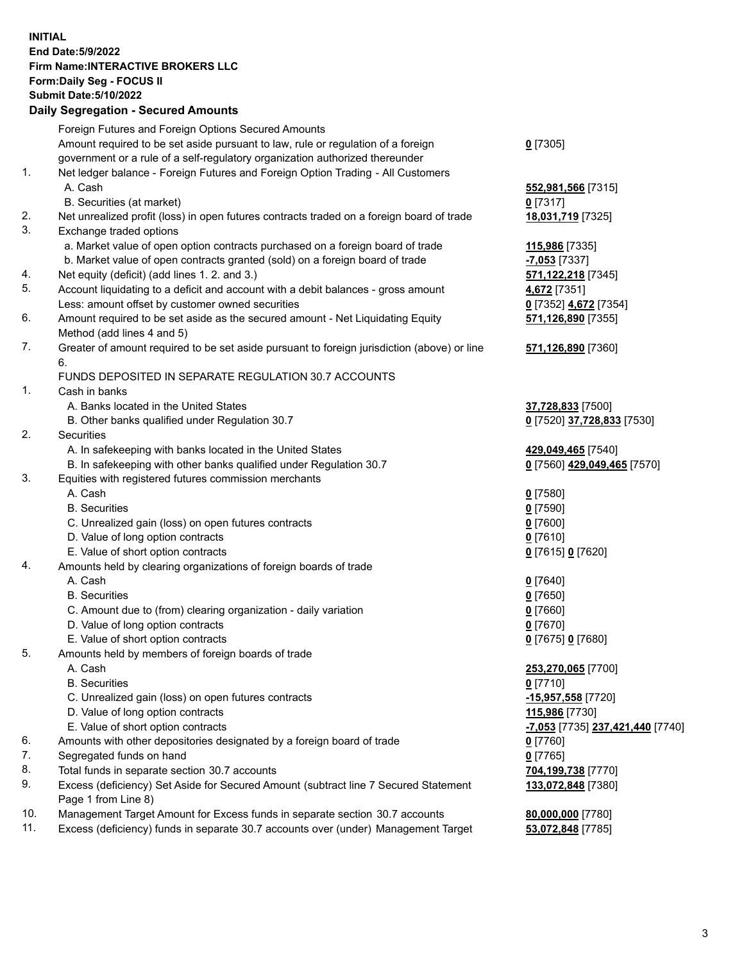**INITIAL End Date:5/9/2022 Firm Name:INTERACTIVE BROKERS LLC Form:Daily Seg - FOCUS II Submit Date:5/10/2022 Daily Segregation - Secured Amounts**

|     | Foreign Futures and Foreign Options Secured Amounts                                         |                                                      |
|-----|---------------------------------------------------------------------------------------------|------------------------------------------------------|
|     | Amount required to be set aside pursuant to law, rule or regulation of a foreign            | $0$ [7305]                                           |
|     | government or a rule of a self-regulatory organization authorized thereunder                |                                                      |
| 1.  | Net ledger balance - Foreign Futures and Foreign Option Trading - All Customers             |                                                      |
|     | A. Cash                                                                                     | 552,981,566 [7315]                                   |
|     | B. Securities (at market)                                                                   | $0$ [7317]                                           |
| 2.  | Net unrealized profit (loss) in open futures contracts traded on a foreign board of trade   | 18,031,719 [7325]                                    |
| 3.  | Exchange traded options                                                                     |                                                      |
|     | a. Market value of open option contracts purchased on a foreign board of trade              | 115,986 [7335]                                       |
|     | b. Market value of open contracts granted (sold) on a foreign board of trade                | -7,053 [7337]                                        |
| 4.  | Net equity (deficit) (add lines 1. 2. and 3.)                                               | 571,122,218 [7345]                                   |
| 5.  | Account liquidating to a deficit and account with a debit balances - gross amount           | 4,672 [7351]                                         |
|     | Less: amount offset by customer owned securities                                            | 0 [7352] 4,672 [7354]                                |
| 6.  | Amount required to be set aside as the secured amount - Net Liquidating Equity              | 571,126,890 [7355]                                   |
|     | Method (add lines 4 and 5)                                                                  |                                                      |
| 7.  | Greater of amount required to be set aside pursuant to foreign jurisdiction (above) or line | 571,126,890 [7360]                                   |
|     | 6.                                                                                          |                                                      |
|     | FUNDS DEPOSITED IN SEPARATE REGULATION 30.7 ACCOUNTS                                        |                                                      |
| 1.  | Cash in banks                                                                               |                                                      |
|     | A. Banks located in the United States                                                       | 37,728,833 [7500]                                    |
|     | B. Other banks qualified under Regulation 30.7                                              | 0 [7520] 37,728,833 [7530]                           |
| 2.  | Securities                                                                                  |                                                      |
|     | A. In safekeeping with banks located in the United States                                   | 429,049,465 [7540]                                   |
|     | B. In safekeeping with other banks qualified under Regulation 30.7                          | 0 [7560] 429,049,465 [7570]                          |
| 3.  | Equities with registered futures commission merchants                                       |                                                      |
|     | A. Cash                                                                                     | $0$ [7580]                                           |
|     | <b>B.</b> Securities                                                                        | $0$ [7590]                                           |
|     | C. Unrealized gain (loss) on open futures contracts                                         | $0$ [7600]                                           |
|     | D. Value of long option contracts                                                           | $0$ [7610]                                           |
|     | E. Value of short option contracts                                                          | 0 [7615] 0 [7620]                                    |
| 4.  | Amounts held by clearing organizations of foreign boards of trade                           |                                                      |
|     | A. Cash                                                                                     | $0$ [7640]                                           |
|     | <b>B.</b> Securities                                                                        | $0$ [7650]                                           |
|     | C. Amount due to (from) clearing organization - daily variation                             | $0$ [7660]                                           |
|     | D. Value of long option contracts                                                           | $0$ [7670]                                           |
|     | E. Value of short option contracts                                                          | 0 [7675] 0 [7680]                                    |
| 5.  | Amounts held by members of foreign boards of trade                                          |                                                      |
|     | A. Cash                                                                                     | 253,270,065 [7700]                                   |
|     | <b>B.</b> Securities                                                                        | $0$ [7710]                                           |
|     | C. Unrealized gain (loss) on open futures contracts                                         | -15,957,558 [7720]                                   |
|     | D. Value of long option contracts                                                           | 115,986 [7730]                                       |
|     | E. Value of short option contracts                                                          | <mark>-7,053</mark> [7735] <b>237,421,440</b> [7740] |
| 6.  | Amounts with other depositories designated by a foreign board of trade                      | $0$ [7760]                                           |
| 7.  | Segregated funds on hand                                                                    | $0$ [7765]                                           |
| 8.  | Total funds in separate section 30.7 accounts                                               | 704,199,738 [7770]                                   |
| 9.  | Excess (deficiency) Set Aside for Secured Amount (subtract line 7 Secured Statement         | 133,072,848 [7380]                                   |
|     | Page 1 from Line 8)                                                                         |                                                      |
| 10. | Management Target Amount for Excess funds in separate section 30.7 accounts                 | 80,000,000 [7780]                                    |
| 11. | Excess (deficiency) funds in separate 30.7 accounts over (under) Management Target          | 53,072,848 [7785]                                    |
|     |                                                                                             |                                                      |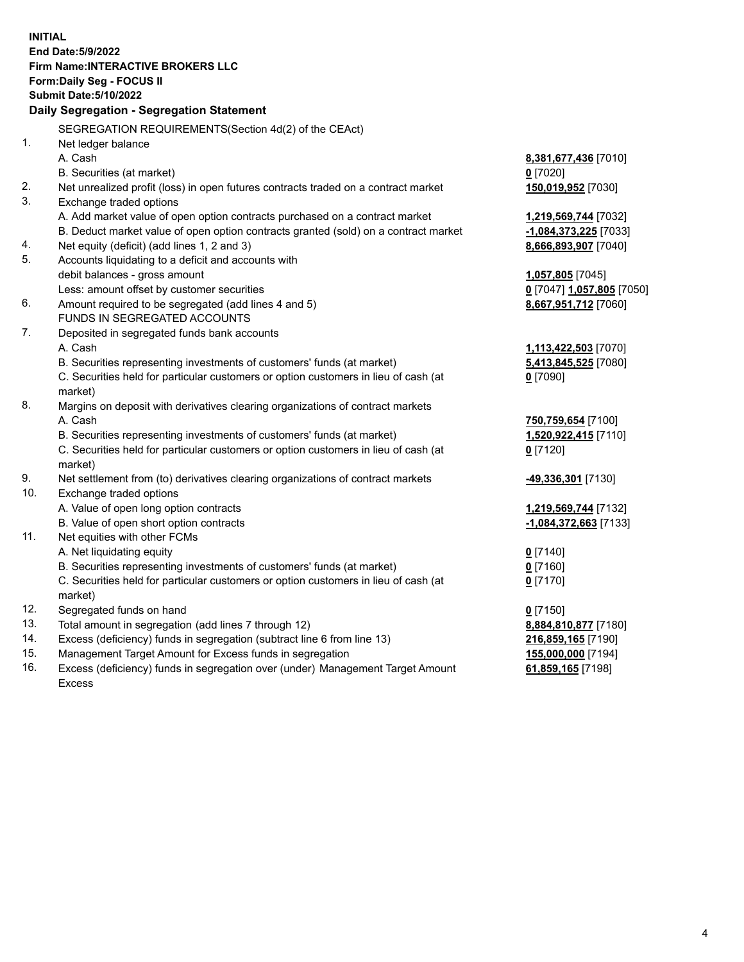**INITIAL End Date:5/9/2022 Firm Name:INTERACTIVE BROKERS LLC Form:Daily Seg - FOCUS II Submit Date:5/10/2022 Daily Segregation - Segregation Statement** SEGREGATION REQUIREMENTS(Section 4d(2) of the CEAct) 1. Net ledger balance A. Cash **8,381,677,436** [7010] B. Securities (at market) **0** [7020] 2. Net unrealized profit (loss) in open futures contracts traded on a contract market **150,019,952** [7030] 3. Exchange traded options A. Add market value of open option contracts purchased on a contract market **1,219,569,744** [7032] B. Deduct market value of open option contracts granted (sold) on a contract market **-1,084,373,225** [7033] 4. Net equity (deficit) (add lines 1, 2 and 3) **8,666,893,907** [7040] 5. Accounts liquidating to a deficit and accounts with debit balances - gross amount **1,057,805** [7045] Less: amount offset by customer securities **0** [7047] **1,057,805** [7050] 6. Amount required to be segregated (add lines 4 and 5) **8,667,951,712** [7060] FUNDS IN SEGREGATED ACCOUNTS 7. Deposited in segregated funds bank accounts A. Cash **1,113,422,503** [7070] B. Securities representing investments of customers' funds (at market) **5,413,845,525** [7080] C. Securities held for particular customers or option customers in lieu of cash (at market) **0** [7090] 8. Margins on deposit with derivatives clearing organizations of contract markets A. Cash **750,759,654** [7100] B. Securities representing investments of customers' funds (at market) **1,520,922,415** [7110] C. Securities held for particular customers or option customers in lieu of cash (at market) **0** [7120] 9. Net settlement from (to) derivatives clearing organizations of contract markets **-49,336,301** [7130] 10. Exchange traded options A. Value of open long option contracts **1,219,569,744** [7132] B. Value of open short option contracts **-1,084,372,663** [7133] 11. Net equities with other FCMs A. Net liquidating equity **0** [7140] B. Securities representing investments of customers' funds (at market) **0** [7160] C. Securities held for particular customers or option customers in lieu of cash (at market) **0** [7170] 12. Segregated funds on hand **0** [7150] 13. Total amount in segregation (add lines 7 through 12) **8,884,810,877** [7180] 14. Excess (deficiency) funds in segregation (subtract line 6 from line 13) **216,859,165** [7190] 15. Management Target Amount for Excess funds in segregation **155,000,000** [7194] 16. Excess (deficiency) funds in segregation over (under) Management Target Amount **61,859,165** [7198]

Excess